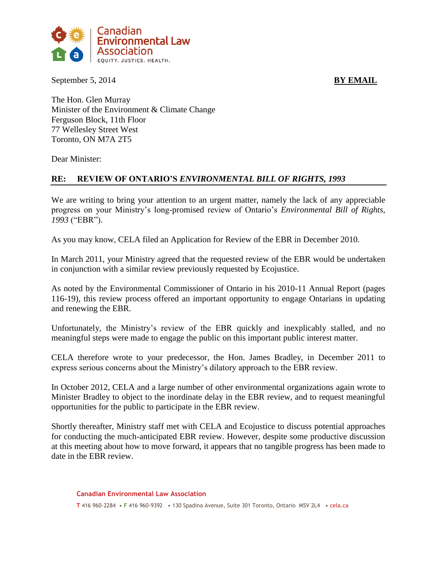



September 5, 2014 **BY EMAIL** 

The Hon. Glen Murray Minister of the Environment & Climate Change Ferguson Block, 11th Floor 77 Wellesley Street West Toronto, ON M7A 2T5

Dear Minister:

## **RE: REVIEW OF ONTARIO'S** *ENVIRONMENTAL BILL OF RIGHTS, 1993*

We are writing to bring your attention to an urgent matter, namely the lack of any appreciable progress on your Ministry's long-promised review of Ontario's *Environmental Bill of Rights, 1993* ("EBR").

As you may know, CELA filed an Application for Review of the EBR in December 2010.

In March 2011, your Ministry agreed that the requested review of the EBR would be undertaken in conjunction with a similar review previously requested by Ecojustice.

As noted by the Environmental Commissioner of Ontario in his 2010-11 Annual Report (pages 116-19), this review process offered an important opportunity to engage Ontarians in updating and renewing the EBR.

Unfortunately, the Ministry's review of the EBR quickly and inexplicably stalled, and no meaningful steps were made to engage the public on this important public interest matter.

CELA therefore wrote to your predecessor, the Hon. James Bradley, in December 2011 to express serious concerns about the Ministry's dilatory approach to the EBR review.

In October 2012, CELA and a large number of other environmental organizations again wrote to Minister Bradley to object to the inordinate delay in the EBR review, and to request meaningful opportunities for the public to participate in the EBR review.

Shortly thereafter, Ministry staff met with CELA and Ecojustice to discuss potential approaches for conducting the much-anticipated EBR review. However, despite some productive discussion at this meeting about how to move forward, it appears that no tangible progress has been made to date in the EBR review.